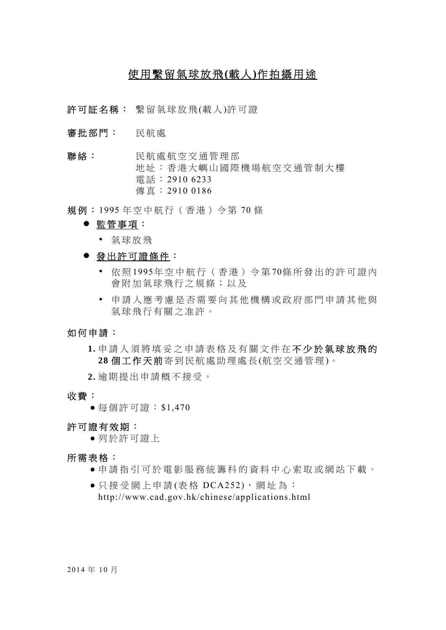# 使用繫留氣球放飛**(**載人**)**作拍攝用途

許可証名稱: 繫留氣球放飛(載人)許可證

- 審批部門: 民航處
- 聯絡: 民航處航空交通管理部 地址:香港大嶼山國際機場航空交通管制大樓 電話: 2910 6233 傳真: 2910 0186

規例: 1995 年空中航行(香港)令第 70 條

## 監管事項:

- 氣球放飛
- 發出許可證條件:
	- 依 照 1995年空中航行(香港)令第 70條所發出的許可證內 會附加氣球飛行之規條;以及
	- 申請人應考慮是否需要向其他機構或政府部門申請其他與 氣球飛行有關之准許。

## 如何申請:

 **1.** 申請人須將填妥之申請表格及有關文件在 不少於氣球放飛的 **28** 個工作天前 寄到民航處助理處長 (航空交通管理 )。

 **2.** 逾期提出申請概不接受。

- 收費:
	- 每個許可證: \$1,470

許可證有效期:

● 列於許可證上

#### 所需表格:

- 申請指引可於電影服務統籌科的資料中心索取或網站下載。
- 只接受網上申請 (表格 DCA252), 網址為: http://www.cad.gov.hk/chinese/applications.html

2014 年 10 月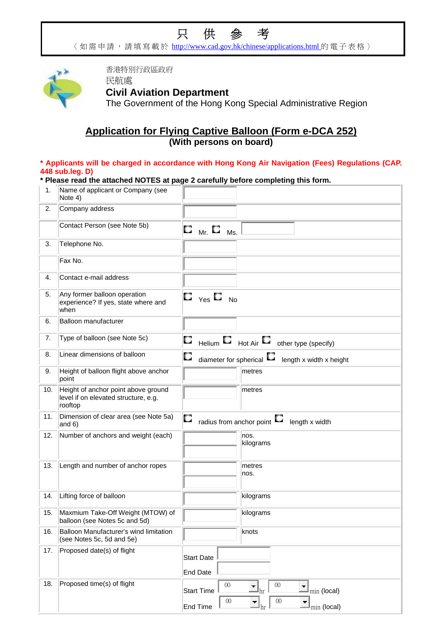# 只供參考

〈如需申請,請填寫載於 http://www.cad.gov.hk/chinese/applications.html 的電子表格〉



香港特別行政區政府 民航處

# **Civil Aviation Department**

The Government of the Hong Kong Special Administrative Region

# **Application for Flying Captive Balloon (Form e-DCA 252) (With persons on board)**

## **\* Applicants will be charged in accordance with Hong Kong Air Navigation (Fees) Regulations (CAP. 448 sub.leg. D)**

|  | * Please read the attached NOTES at page 2 carefully before completing this form. |
|--|-----------------------------------------------------------------------------------|
|--|-----------------------------------------------------------------------------------|

| 1.  | Name of applicant or Company (see<br>Note 4)                                           |                                                                                                                                                             |
|-----|----------------------------------------------------------------------------------------|-------------------------------------------------------------------------------------------------------------------------------------------------------------|
| 2.  | Company address                                                                        |                                                                                                                                                             |
|     | Contact Person (see Note 5b)                                                           | O<br>Mr. $\square$<br>Ms.                                                                                                                                   |
| 3.  | Telephone No.                                                                          |                                                                                                                                                             |
|     | Fax No.                                                                                |                                                                                                                                                             |
| 4.  | Contact e-mail address                                                                 |                                                                                                                                                             |
| 5.  | Any former balloon operation<br>experience? If yes, state where and<br>when            | $\square_{\mathsf{Yes}} \square$<br><b>No</b>                                                                                                               |
| 6.  | Balloon manufacturer                                                                   |                                                                                                                                                             |
| 7.  | Type of balloon (see Note 5c)                                                          | O<br>Helium $\Box$ Hot Air $\Box$<br>other type (specify)                                                                                                   |
| 8.  | Linear dimensions of balloon                                                           | U<br>diameter for spherical<br>length x width x height                                                                                                      |
| 9.  | Height of balloon flight above anchor<br>point                                         | metres                                                                                                                                                      |
| 10. | Height of anchor point above ground<br>level if on elevated structure, e.g.<br>rooftop | metres                                                                                                                                                      |
| 11. | Dimension of clear area (see Note 5a)<br>and $6)$                                      | O<br>щ<br>radius from anchor point<br>length x width                                                                                                        |
| 12. | Number of anchors and weight (each)                                                    | nos.<br>kilograms                                                                                                                                           |
| 13. | Length and number of anchor ropes                                                      | metres<br>nos.                                                                                                                                              |
| 14. | Lifting force of balloon                                                               | kilograms                                                                                                                                                   |
| 15. | Maxmium Take-Off Weight (MTOW) of<br>balloon (see Notes 5c and 5d)                     | kilograms                                                                                                                                                   |
| 16. | Balloon Manufacturer's wind limitation<br>(see Notes 5c, 5d and 5e)                    | knots                                                                                                                                                       |
| 17. | Proposed date(s) of flight                                                             | <b>Start Date</b><br>End Date                                                                                                                               |
| 18. | Proposed time(s) of flight                                                             | $00\,$<br>$00\,$<br>$\mathbf{I}_{\text{min}}$ (local)<br><b>Start Time</b><br>hr<br>$00\,$<br>$00\,$<br>End Time<br>$\mathbb{I}_{\text{min}}$ (local)<br>hr |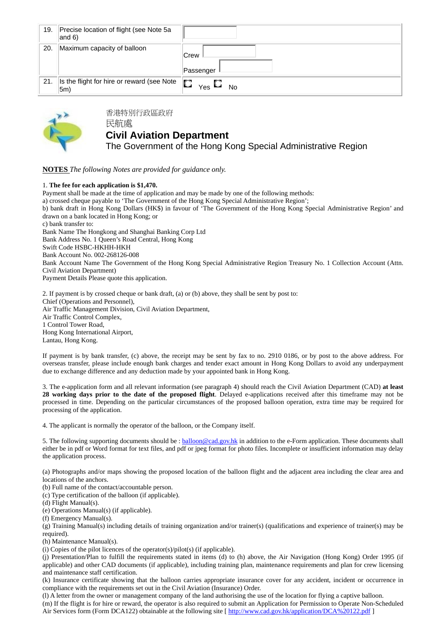| 19. | Precise location of flight (see Note 5a<br>$ and 6\rangle$ |                          |
|-----|------------------------------------------------------------|--------------------------|
| 20. | Maximum capacity of balloon                                | <b>Crew</b><br>Passenger |
| 21. | Is the flight for hire or reward (see Note<br>$ 5m\rangle$ | D<br>Yes L<br><b>No</b>  |



香港特別行政區政府 民航處

## **Civil Aviation Department**

The Government of the Hong Kong Special Administrative Region

#### **NOTES** *The following Notes are provided for guidance only.*

#### 1. **The fee for each application is \$1,470.**

Payment shall be made at the time of application and may be made by one of the following methods: a) crossed cheque payable to 'The Government of the Hong Kong Special Administrative Region'; b) bank draft in Hong Kong Dollars (HK\$) in favour of 'The Government of the Hong Kong Special Administrative Region' and drawn on a bank located in Hong Kong; or c) bank transfer to: Bank Name The Hongkong and Shanghai Banking Corp Ltd Bank Address No. 1 Queen's Road Central, Hong Kong Swift Code HSBC-HKHH-HKH Bank Account No. 002-268126-008 Bank Account Name The Government of the Hong Kong Special Administrative Region Treasury No. 1 Collection Account (Attn. Civil Aviation Department) Payment Details Please quote this application.

2. If payment is by crossed cheque or bank draft, (a) or (b) above, they shall be sent by post to: Chief (Operations and Personnel), Air Traffic Management Division, Civil Aviation Department, Air Traffic Control Complex, 1 Control Tower Road, Hong Kong International Airport, Lantau, Hong Kong.

If payment is by bank transfer, (c) above, the receipt may be sent by fax to no. 2910 0186, or by post to the above address. For overseas transfer, please include enough bank charges and tender exact amount in Hong Kong Dollars to avoid any underpayment due to exchange difference and any deduction made by your appointed bank in Hong Kong.

3. The e-application form and all relevant information (see paragraph 4) should reach the Civil Aviation Department (CAD) **at least 28 working days prior to the date of the proposed flight**. Delayed e-applications received after this timeframe may not be processed in time. Depending on the particular circumstances of the proposed balloon operation, extra time may be required for processing of the application.

4. The applicant is normally the operator of the balloon, or the Company itself.

5. The following supporting documents should be : balloon@cad.gov.hk in addition to the e-Form application. These documents shall either be in pdf or Word format for text files, and pdf or jpeg format for photo files. Incomplete or insufficient information may delay the application process.

(a) Photographs and/or maps showing the proposed location of the balloon flight and the adjacent area including the clear area and locations of the anchors.

(b) Full name of the contact/accountable person.

(c) Type certification of the balloon (if applicable).

(d) Flight Manual(s).

(e) Operations Manual(s) (if applicable).

(f) Emergency Manual(s).

(g) Training Manual(s) including details of training organization and/or trainer(s) (qualifications and experience of trainer(s) may be required).

(h) Maintenance Manual(s).

(i) Copies of the pilot licences of the operator(s)/pilot(s) (if applicable).

(j) Presentation/Plan to fulfill the requirements stated in items (d) to (h) above, the Air Navigation (Hong Kong) Order 1995 (if applicable) and other CAD documents (if applicable), including training plan, maintenance requirements and plan for crew licensing and maintenance staff certification.

(k) Insurance certificate showing that the balloon carries appropriate insurance cover for any accident, incident or occurrence in compliance with the requirements set out in the Civil Aviation (Insurance) Order.

(l) A letter from the owner or management company of the land authorising the use of the location for flying a captive balloon. (m) If the flight is for hire or reward, the operator is also required to submit an Application for Permission to Operate Non-Scheduled Air Services form (Form DCA122) obtainable at the following site [ http://www.cad.gov.hk/application/DCA%20122.pdf ]